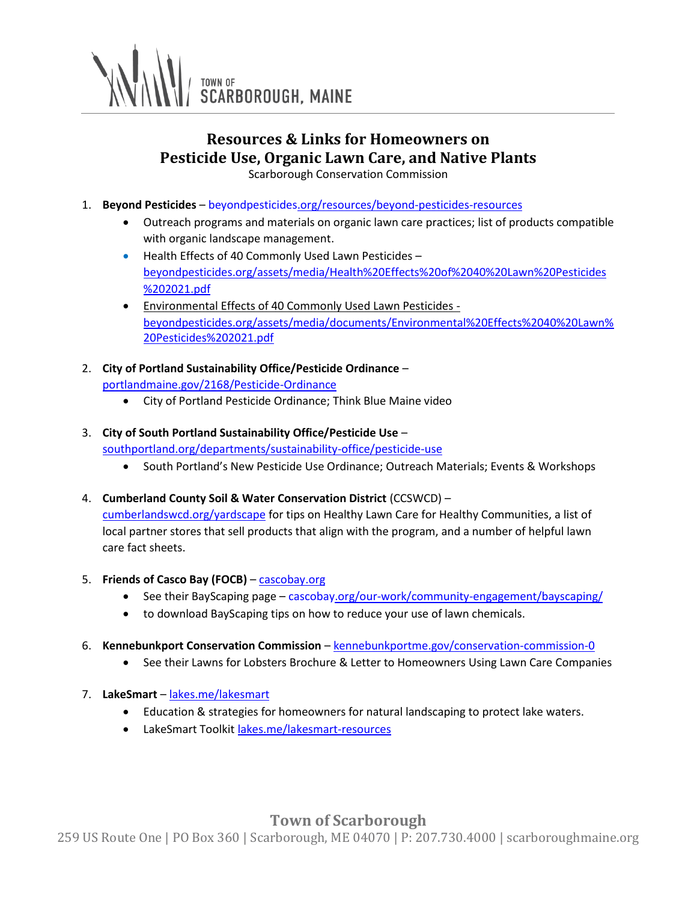

# **Resources & Links for Homeowners on Pesticide Use, Organic Lawn Care, and Native Plants**

Scarborough Conservation Commission

- 1. **Beyond Pesticides** [beyondpesticides.org/resources/beyond-pesticides-resources](https://www.beyondpesticides.org/resources/beyond-pesticides-resources)
	- Outreach programs and materials on organic lawn care practices; list of products compatible with organic landscape management.
	- Health Effects of 40 Commonly Used Lawn Pesticides [beyondpesticides.org/assets/media/Health%20Effects%20of%2040%20Lawn%20Pesticides](https://www.beyondpesticides.org/assets/media/Health%20Effects%20of%2040%20Lawn%20Pesticides%202021.pdf) [%202021.pdf](https://www.beyondpesticides.org/assets/media/Health%20Effects%20of%2040%20Lawn%20Pesticides%202021.pdf)
	- Environmental Effects of 40 Commonly Used Lawn Pesticides [beyondpesticides.org/assets/media/documents/Environmental%20Effects%2040%20Lawn%](https://www.beyondpesticides.org/assets/media/documents/Environmental%20Effects%2040%20Lawn%20Pesticides%202021.pdf) [20Pesticides%202021.pdf](https://www.beyondpesticides.org/assets/media/documents/Environmental%20Effects%2040%20Lawn%20Pesticides%202021.pdf)
- 2. **City of Portland Sustainability Office/Pesticide Ordinance**  [portlandmaine.gov/2168/Pesticide-Ordinance](http://www.portlandmaine.gov/2168/Pesticide-Ordinance)
	- City of Portland Pesticide Ordinance; Think Blue Maine video

### 3. **City of South Portland Sustainability Office/Pesticide Use** –

[southportland.org/departments/sustainability-office/pesticide-use](http://www.southportland.org/departments/sustainability-office/pesticide-use)

- South Portland's New Pesticide Use Ordinance; Outreach Materials; Events & Workshops
- 4. **Cumberland County Soil & Water Conservation District** (CCSWCD) [–](https://www.cumberlandswcd.org/yardscape) [cumberlandswcd.org/yardscape](https://www.cumberlandswcd.org/yardscape) for tips on Healthy Lawn Care for Healthy Communities, a list of local partner stores that sell products that align with the program, and a number of helpful lawn care fact sheets.
- 5. **Friends of Casco Bay (FOCB)** [cascobay.org](http://www.cascobay.org/)
	- See their BayScaping page [cascobay.org/our-work/community-engagement/bayscaping/](https://www.cascobay.org/our-work/community-engagement/bayscaping/)
	- to download BayScaping tips on how to reduce your use of lawn chemicals.
- 6. **Kennebunkport Conservation Commission** [kennebunkportme.gov/conservation-commission-0](http://www.kennebunkportme.gov/conservation-commission-0)
	- See their Lawns for Lobsters Brochure & Letter to Homeowners Using Lawn Care Companies
- 7. **LakeSmart** [lakes.me/lakesmart](http://www.mainelakessociety.org/lakesmart)
	- Education & strategies for homeowners for natural landscaping to protect lake waters.
	- LakeSmart Toolki[t lakes.me/lakesmart-resources](https://www.lakes.me/lakesmart-resources)

## **Town of Scarborough**

259 US Route One | PO Box 360 | Scarborough, ME 04070 | P: 207.730.4000 | scarboroughmaine.org